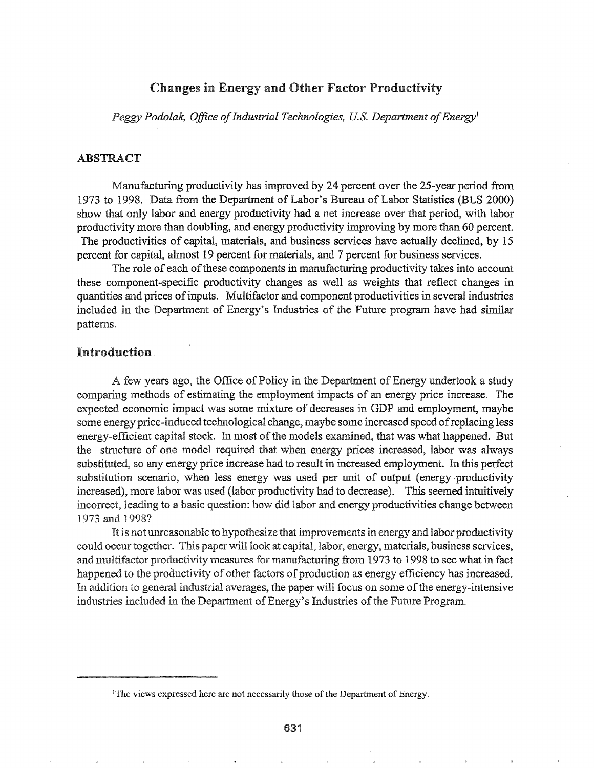## Changes in Energy and Other Factor Productivity

*Peggy Podolak, Office of Industrial Technologies, U.S. Department of Energy*<sup>1</sup>

### ABSTRACT

Manufacturing productivity has improved by 24 percent over the 25-year period from 1973 to 1998. Data from the Department of Labor's Bureau of Labor Statistics (BLS 2000) show that only labor and energy productivity had a net increase over that period, with labor productivity more than doubling, and energy productivity improving by more than 60 percent. The productivities of capital, materials, and business services have actually declined, by 15 percent for capital, almost 19 percent for materials, and 7 percent for business services.

The role of each of these components in manufacturing productivity takes into account these component-specific productivity changes as well as weights that reflect changes in quantities and prices ofinputs. Multifactor and component productivities in several industries included in the Department of Energy's Industries of the Future program have had similar patterns.

# Introduction

A few years ago, the Office of Policy in the Department of Energy undertook a study comparing methods of estimating the employment impacts an energy price increase. The expected economic impact was some mixture of decreases in GDP and employment, maybe some energy price-induced technological change, maybe some increased speed ofreplacing less energy-efficient capital stock. In most of the models examined, that was what happened. But the structure of one model required that when energy prices increased, labor was always substituted, so any energy price increase had to result in increased employment. In this perfect substitution scenario, when less energy was used per unit of output (energy productivity increased), more labor was used (labor productivity had to decrease). This seemed intuitively incorrect, leading to a basic question: how did labor energy productivities change between 1973 and 1998?

It is not unreasonable to hypothesize that improvements in energy and labor productivity could occur together. This paper will look at capital, labor, energy, materials, business services, and multifactor productivity measures for manufacturing from 1973 to 1998 to see what in fact happened to the productivity of other factors of production as energy efficiency has increased. In addition to general industrial averages, the paper will focus on some of the energy-intensive industries included in the Department of Energy's Industries of the Future Program.

<sup>&</sup>lt;sup>1</sup>The views expressed here are not necessarily those of the Department of Energy.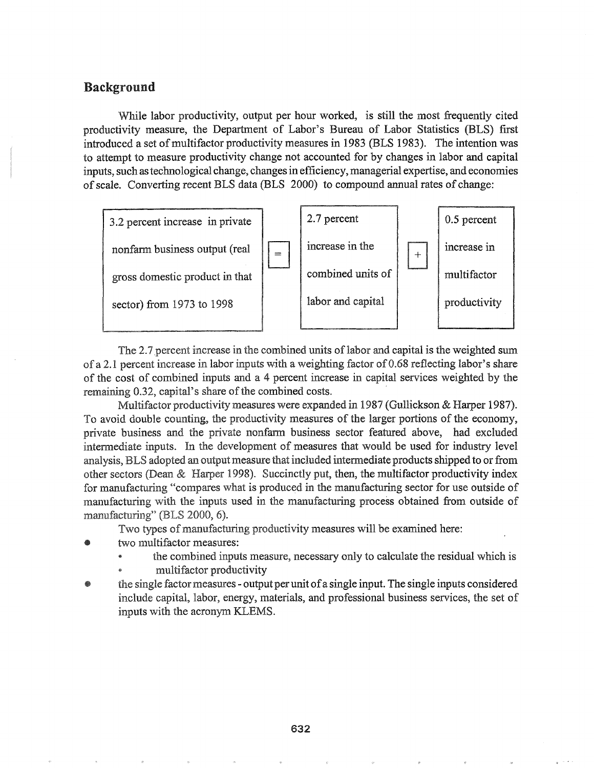# **Background**

While labor productivity, output per hour worked, is still the most frequently cited productivity measure, the Department of Labor's Bureau of Labor Statistics (BLS) first introduced a set of multifactor productivity measures in 1983 (BLS 1983). The intention was to attempt to measure productivity change not accounted for by changes in labor and capital inputs, such as technological change, changes in efficiency, managerial expertise, and economies of scale. Converting recent BLS data (BLS 2000) to compound annual rates of change:



The 2.7 percent increase in the combined units of labor and capital is the weighted sum of a 2.1 percent increase in labor inputs with a weighting factor of 0.68 reflecting labor's share of the cost of combined inputs and a 4 percent increase in capital services weighted by the remaining 0.32, capital's share of the combined costs.

Multifactor productivity measures were expanded in 1987 (Gullickson & Harper 1987). To avoid double counting, the productivity measures of the larger portions of the economy, private business and the private nonfarm business sector featured above, had excluded intermediate inputs. In the development of measures that would be used for industry level analysis, BLS adopted an output measure that included intermediate products shipped to or from other sectors (Dean & Harper 1998). Succinctly put, then, the multifactor productivity index for manufacturing "compares what is produced in the manufacturing sector for use outside of manufacturing with the inputs used in the manufacturing process obtained from outside of manufacturing" (BLS 2000, 6).

Two types of manufacturing productivity measures will be examined here:

- two multifactor measures:
	- the combined inputs measure, necessary only to calculate the residual which is
	- multifactor productivity
- the single factor measures output per unit of a single input. The single inputs considered include capital, labor, energy, materials, and professional business services, the set of inputs with the acronym KLEMS.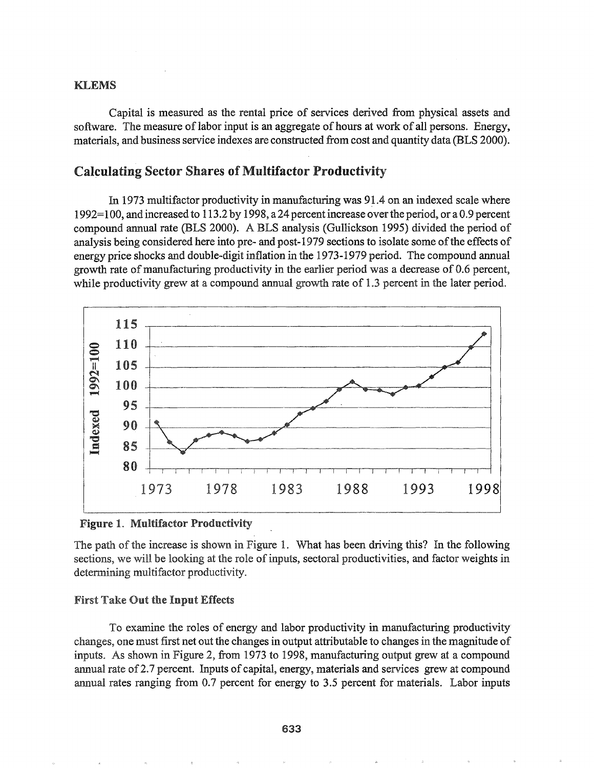### **KLEMS**

Capital is measured as the rental price of services derived from physical assets and software. The measure of labor input is an aggregate of hours at work of all persons. Energy, materials, and business service indexes are constructed from cost and quantity data (BLS 2000).

# **Calculating Sector Shares of Multifactor Productivity**

In 1973 multifactor productivity in manufacturing was 91.4 on an indexed scale where 1992=100, and increased to 113.2 by 1998, a 24 percent increase over the period, or a 0.9 percent compound annual rate (BLS 2000). A BLS analysis (Gullickson 1995) divided the period of analysis being considered here into pre- and post-1979 sections to isolate some of the effects of energy price shocks and double-digit inflation in the 1973-1979 period. The compound annual growth rate of manufacturing productivity in the earlier period was a decrease of 0.6 percent, while productivity grew at a compound annual growth rate of 1.3 percent in the later period.



**Figure 1. Multifactor Productivity** 

The path of the increase is shown in Figure 1. What has been driving this? In the following sections, we will be looking at the role of inputs, sectoral productivities, and factor weights in determining multifactor productivity.

### **First Take Out the Input Effects**

To examine the roles of energy and labor productivity in manufacturing productivity changes, one must first net out the changes in output attributable to changes in the magnitude of inputs. As shown in Figure 2, from 1973 to 1998, manufacturing output grew at a compound annual rate of 2.7 percent. Inputs of capital, energy, materials and services grew at compound annual rates ranging from 0.7 percent for energy to 3.5 percent for materials. Labor inputs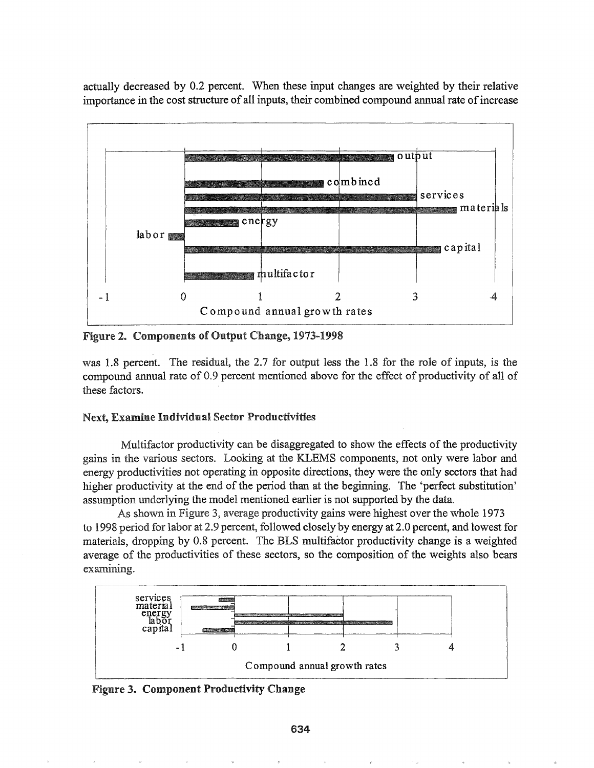actually decreased by 0.2 percent. When these input changes are weighted by their relative importance in the cost structure of all inputs, their combined compound annual rate ofincrease



Figure 2. Components of Output Change, 1973-1998

was 1.8 percent. The residual, the 2.7 for output less the 1.8 for the role of inputs, is the compound annual rate of 0.9 percent mentioned above for the effect of productivity of all of these factors.

### Next, Examine Individual Sector Productivities

Multifactor productivity can be disaggregated to show the effects of the productivity gains in the various sectors. Looking at the KLEMS components, not only were labor and energy productivities not operating in opposite directions, they were the only sectors that had higher productivity at the end of the period than at the beginning. The 'perfect substitution' assumption underlying the model mentioned earlier is not supported by the data.

As shown in Figure 3, average productivity gains were highest over the whole 1973 to 1998 period for labor at 2.9 percent, followed closely by energy at 2.0 percent, and lowest for materials, dropping by 0.8 percent. The BLS multifactor productivity change is a weighted average of the productivities of these sectors, so the composition of the weights also bears examining.



Figure 3. Component Productivity Change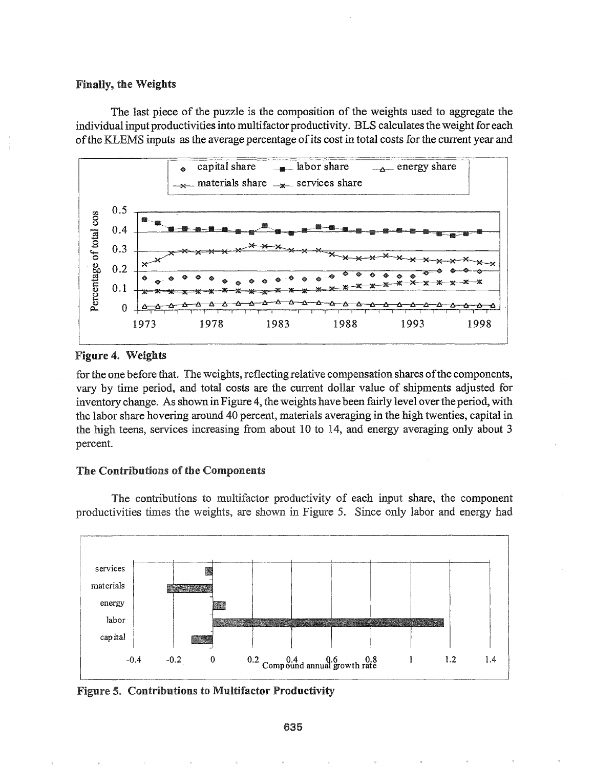#### **Finally, the Weights**

The last piece of the puzzle is the composition of the weights used to aggregate the individual input productivities into multifactor productivity. BLS calculates the weight for each of the KLEMS inputs as the average percentage of its cost in total costs for the current year and



### Figure 4. Weights

for the one before that. The weights, reflecting relative compensation shares of the components, vary by time period, and total costs are the current dollar value of shipments adjusted for inventory change. As shown in Figure 4, the weights have been fairly level over the period, with the labor share hovering around 40 percent, materials averaging in the high twenties, capital in the high teens, services increasing from about 10 to 14, and energy averaging only about 3 percent.

### The Contributions of the Components

The contributions to multifactor productivity of each input share, the component productivities times the weights, are shown in Figure 5. Since only labor and energy had



**Figure 5. Contributions to Multifactor Productivity**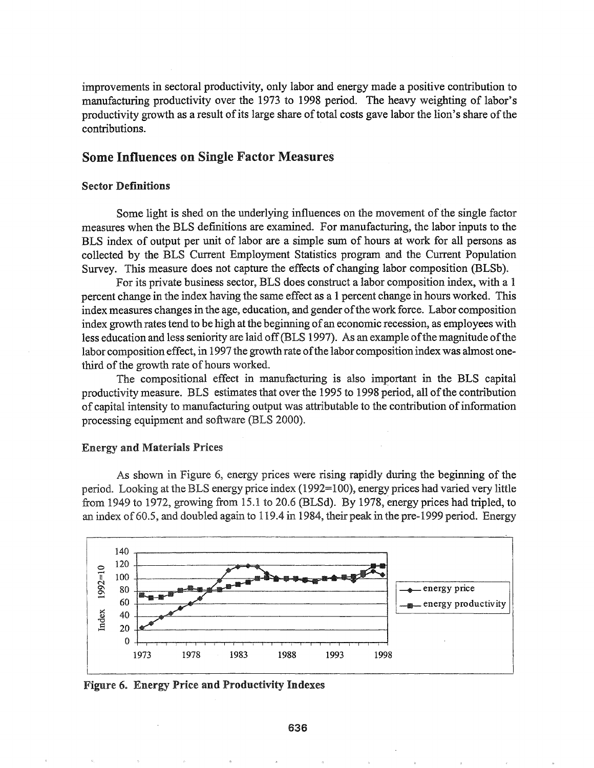improvements in sectoral productivity, only labor and energy made a positive contribution to manufacturing productivity over the 1973 to 1998 period. The heavy weighting of labor's productivity growth as a result of its large share of total costs gave labor the lion's share of the contributions.

# Some Influences on Single Factor Measures

#### Sector Definitions

Some light is shed on the underlying influences on the movement of the single factor measures when the BLS definitions are examined. For manufacturing, the labor inputs to the BLS index of output per unit of labor are a simple sum of hours at work for all persons as collected by the BLS Current Employment Statistics program and the Current Population Survey. This measure does not capture the effects of changing labor composition (BLSb).

For its private business sector, BLS does construct a labor composition index, with a 1 percent change in the index having the same effect as a 1 percent change in hours worked. This index measures changes in the age, education, and gender of the work force. Labor composition index growth rates tend to be high at the beginning of an economic recession, as employees with less education and less seniority are laid off (BLS 1997). As an example of the magnitude of the labor composition effect, in 1997 the growth rate of the labor composition index was almost onethird of the growth rate of hours worked.

The compositional effect in manufacturing is also important in the BLS capital productivity measure. BLS estimates that over the 1995 to 1998 period, all of the contribution of capital intensity to manufacturing output was attributable to the contribution ofinfonnation processing equipment and software (BLS 2000).

### **Energy and Materials Prices**

As shown in Figure 6, energy prices were rising rapidly during the beginning of the period. Looking at the BLS energy price index  $(1992=100)$ , energy prices had varied very little from 1949 to 1972, growing from 15.1 to 20.6 (BLSd). By 1978, energy prices had tripled, to an index of 60.5, and doubled again to 119.4 in 1984, their peak in the pre-1999 period. Energy



Figure 6. Energy Price and Productivity Indexes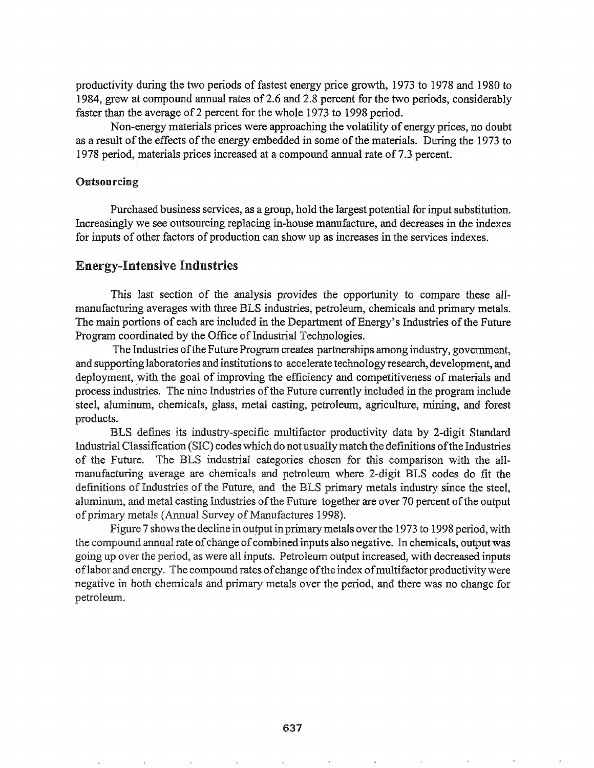productivity during the two periods of fastest energy price growth, 1973 to 1978 and 1980 to 1984, grew at compound annual rates of2.6 and 2.8 percent for the two periods, considerably faster than the average of 2 percent for the whole 1973 to 1998 period.

Non-energy materials prices were approaching the volatility of energy prices, no doubt as a result of the effects of the energy embedded in some of the materials. During the 1973 to 1978 period, materials prices increased at a compound annual rate of7.3 percent.

### **Outsourcing**

Purchased business services, as a group, hold the largest potential for input substitution. Increasingly we see outsourcing replacing in-house manufacture, and decreases in the indexes for inputs of other factors of production can show up as increases in the services indexes.

## Energy-Intensive Industries

This last section of the analysis provides the opportunity to compare these alImanufacturing averages with three BLS industries, petroleum, chemicals and primary metals. The main portions of each are included in the Department of Energy's Industries of the Future Program coordinated by the Office of Industrial Technologies.

The Industries of the Future Program creates partnerships among industry, government, and supporting laboratories and institutionsto accelerate technology research, development, and deployment, with the goal of improving the efficiency and competitiveness of materials and process industries. The nine Industries of the Future currently included in the program include steel, aluminum, chemicals, glass, metal casting, petroleum, agriculture, mining, and forest products.

BLS defines its industry-specific multifactor productivity data by 2-digit Standard Industrial Classification (SIC) codes which do not usually match the definitions of the Industries of the Future. The BLS industrial categories chosen for this comparison with the allmanufacturing average are chemicals and petroleum where 2-digit BLS codes do fit the definitions of Industries of the Future, and the BLS primary metals industry since the steel, aluminum, and metal casting Industries of the Future together are over 70 percent of the output of primary metals (Annual Survey of Manufactures 1998).

Figure 7 shows the decline in output in primary metals over the 1973 to 1998 period, with compound annual rate ofchange ofcombined inputs also negative.. In chemicals, output was going up over the period, as were all inputs. Petroleum output increased, with decreased inputs of labor and energy. The compound rates of change of the index of multifactor productivity were negative in both chemicals and primary metals over the period, and there was no change for petroleum.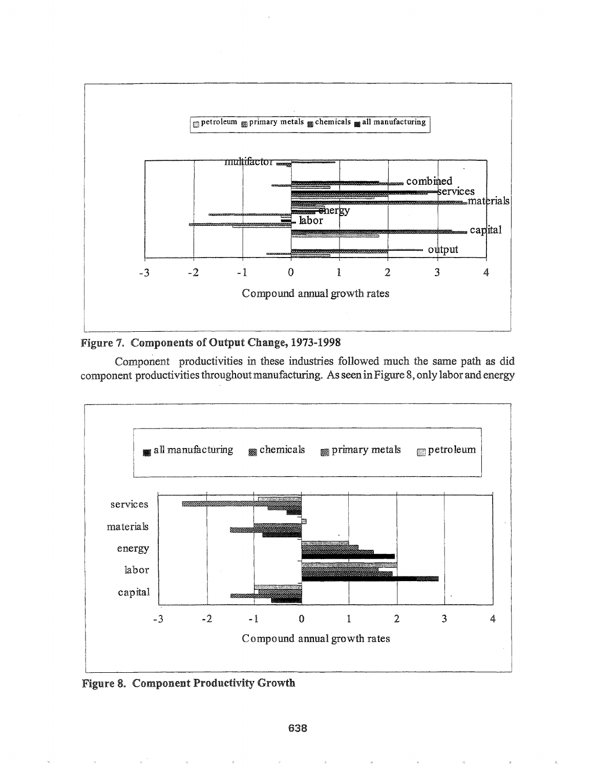



Component productivities in these industries followed much the same path as did component productivities throughout manufacturing. As seen in Figure 8, only labor and energy



Figure 8. Component Productivity Growth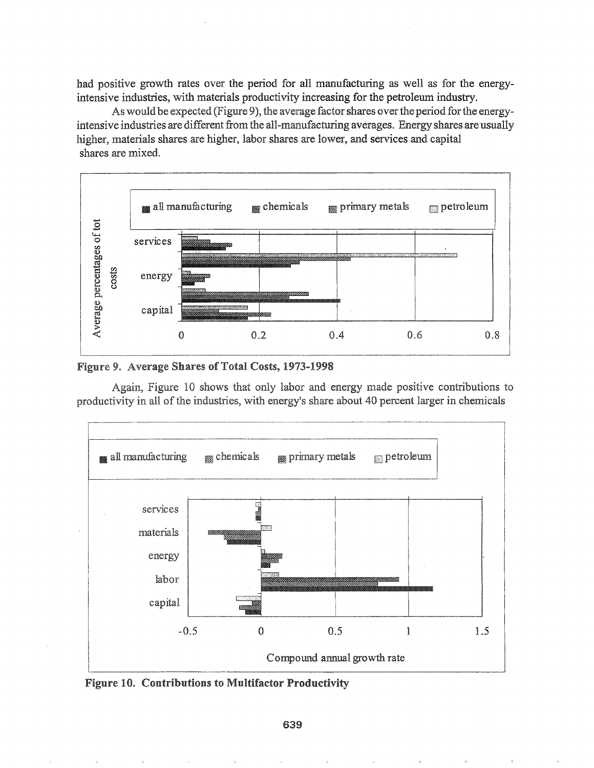had positive growth rates over the period for all manufacturing as well as for the energyintensive industries, with materials productivity increasing for the petroleum industry.

As would be expected (Figure 9), the average factor shares over the period for the energyintensive industries are different from the all-manufacturing averages. Energy shares are usually higher, materials shares are higher, labor shares are lower, and services and capital shares are mixed.



Figure 9. Average Shares of Total Costs, 1973-1998

Again, Figure 10 shows that only labor and energy made positive contributions to productivity in all of the industries, with energy's share about 40 percent larger in chemicals



Figure 10. Contributions to Multifactor Productivity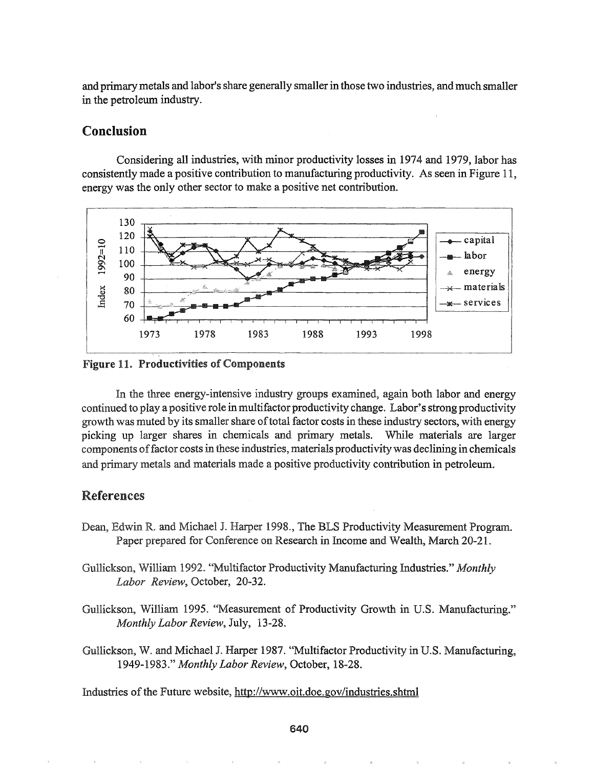and primary metals and labor's share generally smaller in those two industries, and much smaller in the petroleum industry.

## Conclusion

Considering all industries, with minor productivity losses in 1974 and 1979, labor has consistently made a positive contribution to manufacturing productivity. As seen in Figure 11, energy was the only other sector to make a positive net contribution.



11. Productivities of Components

In the three energy-intensive industry groups examined, again both labor and energy continued to play a positive role in multifactor productivity change. Labor's strong productivity growth was muted by its smaller share of total factor costs in these industry sectors, with energy picking up larger shares in chemicals and primary metals. While materials are larger components of factor costs in these industries, materials productivity was declining in chemicals and primary metals and materials made a positive productivity contribution in petroleum.

# **References**

- Dean, Edwin R. and Michael J. Harper 1998., The BLS Productivity Measurement Program. Paper prepared for Conference on Research in Income and Wealth, March 20-21.
- ~IIA-JLA.A\_Jl.1l>o.1J\_.LJIl.~ William 1992.. "Multifactor Productivity Manufacturing Industries." *Monthly Labor Review,* October, 20-32.
- Gullickson, William 1995. "Measurement of Productivity Growth in U.S. Manufacturing." *Monthly Labor Review,* July, 13-28.

Gullickson, W. and Michael J. Harper 1987. "Multifactor Productivity in U.S. Manufacturing, *1949-1983." Monthly Labor Review,* October, 18-28..

Industries of the Future website, http://www.oit.doe.gov/industries.shtml